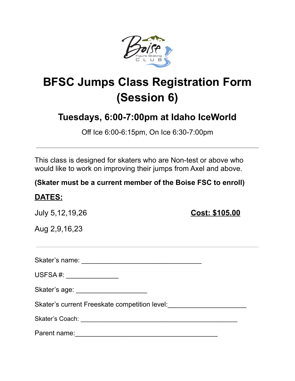

## **BFSC Jumps Class Registration Form (Session 6)**

## **Tuesdays, 6:00-7:00pm at Idaho IceWorld**

Off Ice 6:00-6:15pm, On Ice 6:30-7:00pm

This class is designed for skaters who are Non-test or above who would like to work on improving their jumps from Axel and above.

**(Skater must be a current member of the Boise FSC to enroll)**

## **DATES:**

July 5,12,19,26 **Cost: \$105.00**

Aug 2,9,16,23

Skater's name: \_\_\_\_\_\_\_\_\_\_\_\_\_\_\_\_\_\_\_\_\_\_\_\_\_\_\_\_\_\_\_\_

USFSA #: \_\_\_\_\_\_\_\_\_\_\_\_\_\_

Skater's age: \_\_\_\_\_\_\_\_\_\_\_\_\_\_\_\_\_\_\_

Skater's current Freeskate competition level:\_\_\_\_\_\_\_\_\_\_\_\_\_\_\_\_\_\_\_\_\_

Skater's Coach: \_\_\_\_\_\_\_\_\_\_\_\_\_\_\_\_\_\_\_\_\_\_\_\_\_\_\_\_\_\_\_\_\_\_\_\_\_\_\_\_\_\_\_\_\_

Parent name:\_\_\_\_\_\_\_\_\_\_\_\_\_\_\_\_\_\_\_\_\_\_\_\_\_\_\_\_\_\_\_\_\_\_\_\_\_\_